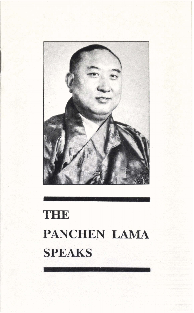

## **THE PANCHEN LAMA SPEAKS**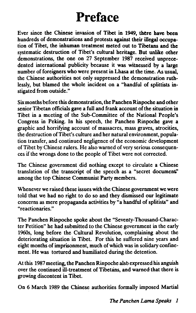## **Preface**

Ever since the Chinese invasion of Tibet in **1949,** there have **been**  hundreds of demonstrations and protests against their illegal occupation of Tibet, the inhuman treatment meted out to Tibetans and the systematic destruction of Tibet's cultural heritage. But unlike other demonstrations, the one on **27** September **1987** received unprecedented international publicity because it was witnessed by a large number of foreigners who were present in Lhasa at the time. **As** usual, the Chinese authorities not only suppressed the demonstration ruthlessly, but blamed the whole incident on a "handful of splittists instigated from outside."

Six months before this demonstration, the Panchen Rinpoche and other senior Tibetan officials gave a full and frank account of the situation in Tibet in a mceting of the Sub-Committee of the National People's Congress in Peking. In his speech, the Panchen Rinpoche gave a graphic and horrifying account of massacres, mass graves, atrocities, the destruction of Tibet's culture and her natural environment, population transfer, and continued negligence of the economic development of Tibet by Chinese rulers. He also warned of very serious consequences if the wrongs done to the people of Tibet were not corrected.

The Chinese government did nothing except to circulate a Chinese translation of the transcript of the speech as a "secret document" among the top Chinese Communist Party members.

Whenever we raised these issues with the Chinese government we were told that we had no right to do so and they dismissed our legitimate concerns **as** mere propaganda activities by "a handful of splitists" and "reactionaries."

The Panchen Rinpoche spoke about the **"Seventy-Thousand-Charac**ter Petition" he had submitted to the Chinese government in the early 1960s, long before the Cultural Revolution, complaining about the deteriorating situation in Tibet. For this he suffered nine years and eight months of imprisonment, much of which was in solidary confinement. He was tortured and humiliated during the detention.

At this **1987** meeting, the Panchen Rinpoche **alsb** expressed his anguish over the continued ill-treatment of Tibetans, and warned that there is growing discontent in Tibet.

On 6 March **1989** the Chinese authorities formally imposed Martial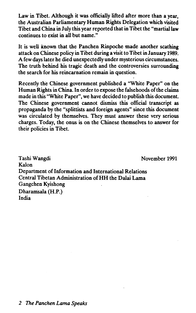Law in Tibet. Although it was officially lifted after more than a year, the Australian Parliamentary Human Rights Delegation which visited Tibet and China in July this year reported that in Tibet the "martial law continues to exist in all but name."

It is well known that the Panchen Rinpoche made another scathing attack on Chinese policy in Tibet during a visit to Tibet in January 1989. **A** few days later he died unexpectedly under mysterious circumstances. The truth behind his tragic death and the controversies surrounding the search for his reincarnation remain in question.

Recently the Chinese government published a "White Paper" on the Human Rights in China. In order to expose the falsehoods of the claims made in this "White Paper", we have decided to publish this document. The Chinese government cannot dismiss this official transcript as propaganda by the "splittists and foreign agents" since this document was circulated by themselves. They must answer these very serious charges. Today, the onus is on the Chinese themselves to answer for their policies in Tibet.

Tashi Wangdi November 1991 Kalon Department of Information and International Relations Central Tibetan Administration of HH the Dalai Lama Gangchen Kyishong Dharamisala (H.P.) India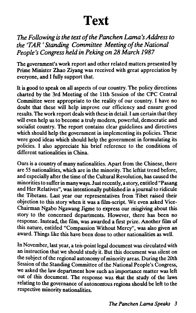## **Text**

*The Following* **is** *the tat of the Panchen Lama's Address to the 'TAR* ' *Standing Committee Meeting of the Notional People's Congress held in Peking on 28 March 1987* 

The government's work report and other related matters presented by Prime Minister Zhao Ziyang was received with great appreciation by everyone, and I fully support that.

It is good to speak on **all** aspects of our country. The policy directions charted by the 3rd Meeting of the 11th Session of the CPC Central Committee were appropriate to the reality of our country. I have no doubt that these will help improve our efficiency and ensure good results. The work report deals with these in detail. I am certain that they will even help us to become a truly modern, powerful, democratic and socialist country. The report contains clear guidelines and directives which should help the government in implementing its policies. These were good ideas which should help the government in formulating its policies. I also appreciate his brief reference to the conditions of different nationalities in China.

Ours is a country of many nationalities. Apart from the Chinese, there are 55 nationalities, which are in the minority. The leftist trend before, and especially after the time of the Cultural Revolution, has caused the minorities to suffer in manyways. Just recently, a stary, entitled "Pasang and Her Relatives", was intentionally published **in** a journal to ridicule the Tibetans. Last year our rcpresentatives from Tibet raised their objection to this story when it was a film-script. We even asked Vice-Chairman Ngabo Ngawang Jigme to express our misgiving about this story to the concerned departments. However, there has been no response. Instead, the film, was awarded a first prize. Another **film** of this nature, entitled "Compassion Without Mercy", was also given an award. Things like this have been done to other nationalities as well.

In November, last year, a ten-point legal document was circulated with an instruction that we should study it. But this document was silent on the subject of the regional autonomy of minority areas. During the 20th Session of the Standing Committee of the National People's Congress, we asked the law depaftment how such **an** importance matter was left out of this document. The response was that the study of the laws relating to the governance of autonomous regions should be lefi to the respective minority nationalities.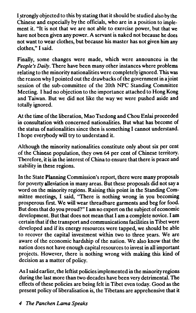I strongly objected to this by stating that it should be studied also by the Chinese and especially by the officials, who are in a position to implement it. "It is not that we are not able to exercise power, but that we have not been given any power. A servant is naked not because he does not want to wear clothes, but because his master has not given him any clothes," I said.

Finally, some changes were made, which were announced in the *People's Daity.* There have been many other instances where problems relating to the minority nationalities were completely ignored. This was the reason why I pointed out the drawbacks of the government in a joint session of the sub-committee of the 20th NPC Standing Committee Meeting. I had no objection to the importance attached to Hong Kong and Taiwan. But we did not like the way we were pushed aside and totally ignored.

At the time of the liberation, Mao Tsedong and Chou **Enlai** proceeded in consultation with concerned nationalities. But what has become of the status of nationalities since then is something I cannot understand. I hope everybody will try to understand it.

Although the minority nationalities constitute only about six per cent of the Chinese population, they own 64 per cent of Chinese territory. Therefore, it is in the interest of China to ensure that there is peace and stability in these regions.

In the State Planning Commission's report, there were many proposals for poverty alleviation in many areas. But these proposals did not say a word on the minority regions. Raising this point in the Standing Committee meetings, I said, "There is nothing wrong in you becoming prosperous first. We will wear threadbare garments and beg for food. But does that do you proud?" I **am** no expert on the subject of economic development. But that does not mean that I **am** a complete novice. I am certain that if the transport and communications facilities in Tibet were developed and if its energy resources were tapped, we should be able to recover the capital investment within two to three years. We are aware of the economic hardship of the nation. We also know that the nation does not have enough capital resources to invest in all important projects. However, there is nothing wrong with making this kind of decision as a matter of policy.

**As** I said earlier, the leftist policies implemented in the minorityregions during the last more than two decades have been very detrimental. The effects of these policies are being felt in Tibet even today. Good as the present policy of liberalisation is, the Tibetans are apprehensive that it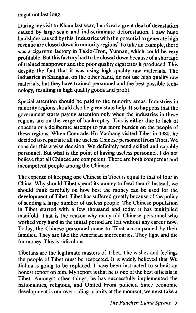might not last long.

During my visit to Kham last year, I noticed a great deal of devastation caused by large-scale and indiscriminate deforestation. I saw huge landslides caused by this. Industries with the potential to generate high revenue are closed down in minority regions. To take an example, there was a cigarette factory in Taklo-Tron, Yunnan, which could be very profitable. But this factory had to be closed down because of a shortage of trained manpower and the poor quality cigarettes it produced. This despite the fact that it was using high quality raw materials. The industries in Shanghai, on the other hand, do not use high quality raw materials, but they have trained personnel and the best possible technology, resulting in high quality goods and profit.

Special attention should be paid to the minority areas. Industries in minority regions should also be given state help. It so happens that the government starts paying attention only when the industries in these regions are on the verge of bankruptcy. This is either due to lack of concern or a deliberate attempt to put more burden on the people of these regions. When Comrade Hu Yaobang visited Tibet in 1980, he decided to repatriate all the useless Chinese personnel from Tibet. We consider this a wise decision. We definitely need skilled and capable personnel. But what is the point of having useless personnel. I do not believe that all Chinese are competent. There are both competent and incompetent people among the Chinese.

The expense of keeping one Chinese in Tibet is equal to that of four in China. Why should Tibet spend its money to feed them? Instead, we should think carefully on how best the money can be used for the development of Tibet. Tibet has suffered greatly because of the policy of sending a large number of useless people. The Chinese population in Tibet started with a few thousand and today it has multiplied manifold. That is the reason why many old Chinese personnel who worked very hard in the initial period are left without any career now. Today, the Chinese personnel come to Tibet accompanied by their families. They are like the American mercenaries. They fight and die for money. This is ridiculous.

Tibetans are the legitimate masters of Tibet. The wishes and feelings the people of Tibet must be respected. It is widely believed that Wu Jinhua is going to be replaced. I have been instructed to submit an honest report on him. My report is that he is one of the best officials in Tibet. Amongst other things, he has successfully implemented the nationalities, religious, and United Front policies. Since economic development is our over-riding priority at the moment, we must take a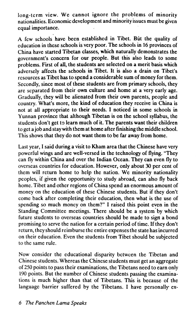long-term view. We cannot ignore the problems of minority nationalities. Economic development and minority issues must be given equal importance.

A few schools have been established in Tibet. But the quality of education in these schools is very poor. The schools in 16 provinces of China have started Tibetan classes, which naturally demonstrates the government's concern for our people. But this also leads to some problems. First of **all,** the students are selected on a merit basis which adversely affects the schools in Tibet. It is also a drain on Tibet's resources as Tibet has to spend a considerable sum of money for them. Secondly, since most of these students are from primary schools, they are separated from their own culture and home at a very early age. Gradually, they will be alienated from their own parents, people and country. What's more, the kind of education they receive in China is not at all appropriate to their needs. I noticed in some schools in Yunnan province that although Tibetan is on the school syllabus, the students don't get to learn much of it. The parents want their children to get a job and stay with them at home after finishing the middle school. This shows that they do not want them to be far away from home.

Last year, I said during a visit to Kham area that the Chinese have very powerful wings and are well-versed in the technology of flying. "They can fly within China and over the Indian Ocean. They can even fly to overseas countries for education. However, only about 30 per cent of them will return home to help the nation. We minority nationality peoples, if given the opportunity to study abroad, can also fly back home. Tibet and other regions of China spend an enormous amount of money on the education of these Chinese students. But if they don't come back after completing their education, then what is the use of spending so much money on them?" I raised this point even in the Standing Committee meetings. There should be a system'by which future students to overseas countries should be made to sigri a bond promising to serve the nation for a certain period of time. If they don't return, they should reimburse the entire expenses the state has incurred on their education. Even the students from Tibet should be subjected to the same rule.

Now consider the educational disparity between the Tibetan and Chinese students. Whereas the Chinese students must get an aggregate of 250 points to pass their examinations, the Tibetans need to earn only 190 points. But the number of Chinese students passing the examinations is much higher than that of Tibetans. This is because of the language barrier suffered by the Tibetans. I have personally ex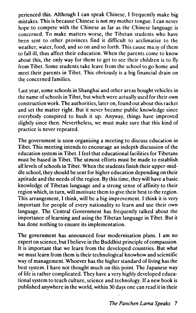perienced this. Although I can speak Chinese, I frequently make big mistakes. This is because Chinese is not my mother tongue. I can never hope to compete with the Chinese as far as the Chinese language is concerned. To make matters worse, the Tibetan students who have been sent to other provinces find it difficult to acclimatise to the weather, water, food, and so on and so forth. This cause many of them to fall ill, thus affect their education. When the parents come to know about this, the only way for them to get to see their children is to fly from Tibet. Some students take leave from the school to go home and meet their parents in Tibet. This obviously is a big financial drain on the concerned families.

Last year, some schools in Shanghai and other areas bought vehicles in the name of schools in Tibet, but which were actually used for their own construction work. The authorities, later on, found out about this racket and set the matter right. But it never became public knowledge since everybody conspired to hush it up. Anyway, things have improved slightly since then. Nevertheless, we must make sure that this kind of practice is never repeated.

The government is soon organising a meeting to discuss education in Tibet. This meeting intends to encourage an indepth discussion of the education system in Tibet. I feel that educational facilities for Tibetans must be based in Tibet. The utmost efforts must be made to establish all levels of schools in Tibet. When the students finish their upper-middle school, they should be sent for higher education depending on their aptitude and the needs of the region. By this time, they will have a basic knowledge of Tibetan language and a strong sense of affinity to their region which, in turn, will motivate them to give their best to the region. This arrangement, I think, will be a big improvement. I think it is very important for people of every nationality to learn and use their own language. The Central Government has frequently talked about the importance of learning and using the Tibetan language in Tibet. But it has done nothing to ensure its implementation.

The government has announced four modernisation plans. I am no expert on science, but I believe in the Buddhist principle of compassion. It is important that we learn from the developed countries. But what we must learn from them is their technological knowhow and scientific way of management. Whoever has the higher standard of living has the best system. I have not thought much on this point. The Japanese way of life is rather complicated. They have a very highly developed educational system to teach culture, science and technology. If a new book is published anywhere in the world, within 30 days one can read it in their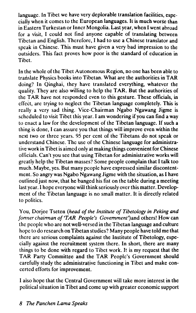language. In Tibet we have very deplorable translation facilities, especially when it comes to the European languages. IL is much worse than in Eastern Turkestan or Inner Mongolia. Last year, when I went abroad for a visit, I could not find anyone capable of translating between Tibetan and English. Therefore, I had to use a Chinese translator and speak in Chinese. This must have given a very bad impression to the outsiders. This fact proves how poor is the standard of education in Tibet.

In the whole of the Tibet Autonomous Region, no one has been able to trarislate Physics books into Tibetan. What are the authorities in TAR doing? In Qinghai, they have translated everything, whatever the quality. They are also willing to help the TAR. But the authorities of the TAR have not responded even to this gesture. These officials, in effect, are trying to neglect the Tibetan language completely. This is really a very sad thing. Vice-Chairman Ngabo Ngawang Jigme is scheduled to visit Tibet this year. I am wondering if you can find a way to enact a law for the development of the Tibetan language. If such a thing is done, I can assure you that things will improve even within the next two or three years. 95 per cent of the Tibetans do not speak or understand Chinese. The use of the Chinese language for administrative work in Tibet is aimed only at making things convenient for Chinese officials. Can't you see that using Tibetan for administrative works will greatly help the Tibetan masses? Some people complain that I talk too much. Maybe, yes. But many people have expressed similar discontentment. So angry was Ngabo Ngawang Jigrne with the situation, as I have outlined just now, that he banged his fist on the table during a meeting last year. I hope everyone will think seriously over this matter. Development of the Tibetan language is no small matter. It is directly related to politics.

You, Dorjee Tseten *(head of the Institute of Tibetology in Peking and fonner chainnan of 'TAR People's Govemment')and* others! How can the people who are not well-versed in the Tibetan language and culture hope to do research on Tibetan studies? Many people have told me that there are serious complaints against the Institute of Tibetology, especially against the recruitment system there. In short, there are many things to be done with regard to Tibet work. **It is** my request that the TAR Party Committee and the TAR Peoplc's Government should carefully study the administrative functioning in Tibet and make concerted efforts for improvement.

I aiso hope that the Central Government will take more interest in the political situation in Tibet and come up with greater economic support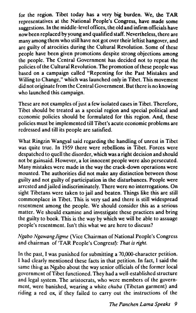for the region. Tibet today has a very big burden. We, the TAR representatives at the National People's Congress, have made some suggestions. In the middle-level offices, the old and infirm officials have now been replaced by young and qualified staff. Nevertheless, there are many among them who still have not got over their leftist hangover, and are guilty of atrocities during the Cultural Revolution. Some of these people have been given promotions despite strong objections among the people. The Central Government has decided not to repeat the policies of the Cultural Revolution. The promotion of these people was based on a campaign called "Repenting for the Past Mistakes and Willing to Change," which was launched only in Tibet. This movement did not originate from the Central Government. But there is no knowing who launched this campaign.

These are not examples of just a few isolated cases in Tibet. Therefore, Tibet should be treated as a special region and special political and economic policies should be formulated for this region. And, these policies must be implemented till Tibet's acute economic problems are redressed and till its people are satisfied.

What Ringzin Wangyal said regarding the handling of unrest in Tibet was quite true. In 1959 there were rebellions in Tibet. Forces were despatched to quell the disorder, which was a right decision and should not be gainsaid. However, a lot innocent people were also persecuted. Many mistakes were made in the way the crack-down operations were mounted. The authorities did not make any distinction between those guilty and not guilty of participation in the disturbances. People were arrested and jailed indiscriminately. There were no interrogations. On sight Tibetans were taken to jail and beaten. Things like this are still commonplace in Tibet. This is very sad and there is still widespread resentment among the people. We should consider this as a serious matter. We should examine and investigate these practices and bring the guilty to book. This is the way by which we will be able to assuage people's resentment. Isn't this what we are here to discuss?

*Ngabo Ngawang Jigme* (Vice Chairman of National People's Congress and chairman of 'TAR People's Congress'): *That is right.* 

In the past, I was punished for submitting a 70,000-character petition. **1** had clearly mentioned these facts in that petition. In fact, I said the same thing as Ngabo about the way senior officials of the former local government of Tibet functioned. They had a well-established structure and legal system. The aristocrats, who were members of the government, were banished, wearing a white *chuba* (Tibetan garment) and riding a red ox, if'they failed to carry out the instructions of the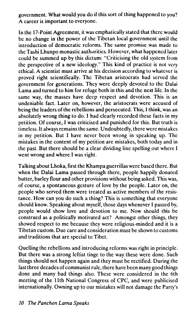government. What would you do if this sort of thing happened to you? A career is important to everyone.

In the 17-Point Agreement, it was emphatically stated that there would be no change in the power of the Tibetan local government until the introduction of democratic reforms. The same promise was made to the Tashi Lhunpo monastic authorities. However, what happened later could be summed up by this dictum: "Criticising the old system from the perspective of a new ideology." This kind of practice is not very ethical. **A** scientist must arrive at his decision according to whatever is proved right scientifically. The Tibetan aristocrats had served the government for generations. They were deeply devoted to the Dalai Lama and turned to him for refuge both in this and the next life. In the same way, the masses have deep respect and devotion. This is an undeniable fact. Later on, however, the aristocrats were accused of being the leaders of the rebellions and persecuted. This, I think, was an absolutely wrong thing to do. I had clearly recorded these facts in my petition. Of course, I was criticised and punished for this. But truth is timeless. It always remains the same. Undoubtedly, there were mistakes in my petition. But I have never been wrong in speaking up. The mistakes in the content of my petition are mistakes, both today and in the past. But there should be a clear dividing line spelling out where I went wrong and where I was right.

Talking about Lhoka, first the Khampa guerrillas were based there. But when the Dalai Lama passed through there, people happily donated butter, barley flour and other provisions without being asked. This was, of course, a spontaneous gesture of love by the people. Later on, the people who served them were treated as active members of the resistance. How can you do such a thing? This is something that everyone should know. Speaking about myself, those days whenever I passed by, people would show love and devotion to me. Now should this be construed as a politicaily motivated act? Amongst other things, they showed respect to me because they were religious-minded and it is a Tibetan custom. Due care and consideration must be shown to customs and traditions that are special to Tibet.

Quelling the rebellions and introducing reforms was right in principle. But there was a strong leftist tinge to the way these were done. Such things should not happen again and they must be rectified. During the last three decades of communist rule, there have been many good things done and many bad things also. These were considered in the 6th meeting of the 11th National Congress of CPC, and were publicised internationally. Owning up to our mistakes will not damage the Party's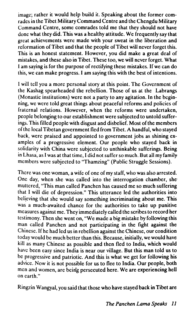image; rather it would help build it. Speaking about the former comrades in the Tibet Military Command Centre and the Chengdu Military Command Centre, some comrades told me that they should not have done what they did. This was a healthy attitude. We frequently say that great achievements were made with your sweat in the liberation and relormation of Tibet and that the people of Tibet will never forget this. This is an honest statement. However, you did make a great deal of mistakes, and these also in Tibet. These too, we will never forget. What **<sup>1</sup>**am saying is for the purpose of rectifying these mistakes. If we can do this, we can make progress. I am saying this with the best of intentions.

1 will tell you a more personal story at this point. The Government of the Kashag spearheaded the rebellion. Those of us at the Labrangs (Monastic institutions) were not a party to any agitation. In the beginning, we were told great things about peaceful reforms and policies of fraternal relations. However, when the reforms were undertaken, people belonging to our establishment were subjected to untold sufferings. This filled people with disgust and disbelief. Most of the members ol the local Tibetan government fled from Tibet. **A** handful, who stayed back, were praised and appointed to government jobs as shining examples of a progressive element. Our people who stayed back in solidarity with China were subjected to unthinkable sufferings. Being in Lhasa; as I was at that time, I did not suffer so much. But all my family members were subjected to "Thamzing" (Public Struggle Sessions).

Thcre was one woman, a wife of one of my staff, wlio was also arrested. One day, when she was called into the interrogation chamber, she. muttered, "This man called Panchen has caused me so much suffering that I will die of depression." This utterance led the authorities into believing that she would say something incriminating about me. This was a much-awaited chance for the authorities to take up punitive measures against me. They immediately called the scribes to record her testimony. Then she went on, "We made a big mistake by following this man called Panchen and not participating in the fight against the Chinese. If he had led us in rebellion against the Chinese, our condition today would be much better than this. Because, initially, we would have kill as many Chinese as possible and then fled to India, which would have been easy since India is near our village. But this man told us to be progressive and patriotic. And this is what we get for following his advice. Now it is not possible for us to flee to India. Our people, both men and women, are beirig persecuted here. We are experiencing hell on earth."

Ringzin Wangyal, you said that those who have stayed back in Tibet are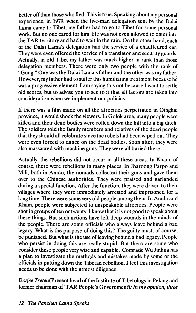better off than those who fled. This is true. Speaking about my personal experience, in 1979, when the five-man delegation sent by the Dalai Lama came to Tibet, my father had to go to Tibet for some personal work. But no one cared for him. He was not even allowed to enter into the TAR territory and had to wait in the rain. On the other hand, each of the Dalai Lama's delegation had the service of a chauffeured car. They were even offered the service of a translator and security guards. Actually, in old Tibet my father was much higher in rank than those delegation members. There were only two people with the rank of "Gung." One was the Dalai Lama's father and the other was my father. However, my father had to suffer this humiliating treatment because **he**  was a progressive element. I am saying this not because I want to settle old scores, but to advise you to see to it that all factors are taken into consideration when we implement our policies.

If there was a film made on all the atrocities perpetrated in Qinghai province, it would shock the viewers. In Golok area, many people were killed and their dead bodies were rolled down the hill into a big ditch. The soldiers told the family members and relatives of the dead people that they should all celebrate since the rebels had been wiped out. They were even forced to dance on the dead bodies. Soon after, they were also massacred with machine guns. They were all buried there.

Actually, the rebellions did not occur in all these areas. In Kham, of course, there were rebellions in many places. In Jharoong Parpo and Mili, both in Amdo, the nomads collected their guns and gave them over to the Chinese authorities. They were praised and garlandcd during a special function. After the function, they were driven to their villages where they were immediately arrested and imprisoned for a long time. There were some very old people among them. In Amdo and Kham, people were subjected to unspeakable atrocities. People were shot in groups of ten or twenty. I know that it is not good to speak about these things. But such actions have left deep wounds in the minds of the people. There are some officials who always leave behind a bad legacy. What is the purpose of doing this? The guilty must, of course, be punished. But what is the use of leaving behind a bad legacy. People who persist in doing this are really stupid. But there are some who consider these people very wise and capable. Comrade Wu Jinhua has a plan to investigate the methods and mistakes made by some of the officials in putting down the Tibetan rebellion. I feel this investigation needs to be done with the utmost diligence.

Dorjee Tseten(Present head of the Institute of Tibetology in Peking and former chairman of 'TAR People's Government'): In my opinion, three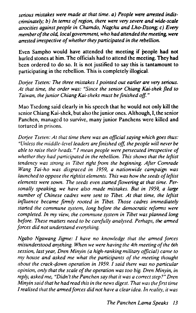serious mistakes were made at that time. a) People were arrested indis*criminately; b) In terns of region, there were very severe and wide-scale atrocities against people in Chamdo, Nagchu and Lho-Dzong; c) Every member* **of** *the 014 localgovernment, who had attended the meeting, were ones ted irrespective of whether they participated in the rebellion.* 

Even Sampho would have attended the meeting if people had not **hurled stones at him. The officials had to attend the meeting. They had been ordered to do so. It is not justified to say this is tantamount to participating in the rebellion. This is completely illogical.** 

*Doriee Tseten: The three mistakes I pointed out earlier are very serious. At that time, the order was: "Since the senior Chiang Kai-shek fled to Taiwan, the junior Chiang Kai-sheks must be finished off."* 

**Mao Tsedong said clearly in his speech that he would not only kill the senior Chiang Kai-shek, but also the junior ones. Although, I, the senior Panchen, managed to survive, many junior Panchens were killed and tortured in prisons.** 

*Doriee Tseten: At that time there was an official saying which goes thus:* "Unless the middle-level leaders are finished off, the people will never be able to raise their heads." I mean people were persecuted irrespective of whether they had participated in the rebellion. This shows that the leftist *tendency was strong in Tibet right from the beginning. After Comrade* Wang Tai-ho was disgraced in 1959, a nationwide campaign was launched to oppose the rightist elements. This was how the seeds of leftist elements were sown. The seeds even started flowering at that time. Per*sonally speaking, we have also made mistakes. But in 1959, a large number of Chinese cadres were sent to Tibet. At that tirne, the leftist*  influence became firmly rooted in Tibet. Those cadres immediately *started tlte commune systern, long before the democratic refoms were completed. In my view, the commune system in Tibet was planned long* before. These matters need to be carefully analysed. Perhaps, the armed *forces did not understand everything.* 

*Ngabo Ngawang Jigme: I have no knowledge that the armed forces misunderstood anything. When we were having tlte 4th meeting of tlte 6th session, last year, Dren Minyin (a high-ranking military oficial) carne to my house and asked me what the participants of the meeting thought* about the crack-down operation in 1959. I said there was no particular *opinion, only that the scale of the operation was too big. Dren Minyin, in reply, asked me, "Didn't the Panchen say that it was a correct step?" Dren Minyin said that he had read this in the news digest. That was the first time I realised tlrut tlte amed forces did not have* **u** *clear idea. 111 rcwlit): if was*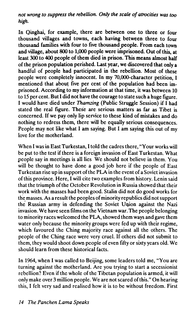*not wrong to suppress the rebellion. Only the scale of atrocities was too high.* 

In **Qinghai,** for example, there are between one to three or four thousand villages and towns, each having between three to four thousand families with four to five thousand people. From each town and village, about 800 to 1,000 people were imprisoned. Out of this, at least **300** to **400** people of them died in prison. **This** means almost **half**  of the prison population perished. Last year, we discovered that only a handful of people had participated in the rebellion. Most of these people were completely innocent. In my 70,000-character petition, I mentioned that about five per cent of the population had been imprisoned. According to my information at that time, it was between **10**  to 15 per cent. But I did not have the courage to state such a huge figure. I would have died under *Thamzing* (Public Struggle Session) if I had stated the real figure. These are serious matters as far **as** Tibet is concerned. If we pay only lip service to these kind of mistakes and do nothing to redress them, there will be equally serious consequences. People may not like what I am saying. But I am saying this out of my love for the motherland.

When I was in East Turkestan, I told the cadres there, "Your works will be put to the test if there is a foreign invasion of East Turkestan. What people say in meetings is all lies We should not believe in them. You will be thought to have done a good job here if the people of East Turkestan rise up in support of the PLAin the event of a Soviet invasion of this province. Here, I will cite two examples from history. Lenin said that the triumph of the October Revolution in Russia showed that their work with the masses had been good. Stalin did not do good works for the masses. As a result the peoples of minority republics did not support the Russian army in defending the Soviet Union against the Nazi invasion. We have seen films on the Vietnam war. The people belonging to minority races welcomed the PLA, showed them ways and gave them water only because the minority groups were fed up with their regime, which favoured the Ching majority race against all the others. The people of the Ching race were very cruel. If others did not submit to them, they would shoot down people of even fifty or sixty years old. We should learn from these historical facts.

In 1964, when I was called to Beijing, some leaders told me, "You are turning against the motherland. Are you trying to start a secessionist rebellion? Even if the whole of the Tibetan population is armed, it will only make over 3 million people. We are not scared of this." On hearing this, I felt very sad and realised how it is to be without freedom. First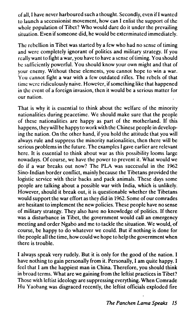of all, I have never harboured such a thought. Secondly, even if I wanted to launch a secessionist movement, how can I enlist the support of the whole population of Tibet? Who would dare do it under the prevailing situation. Even if someone did, he would be exterminated immediately.

The rebellion in Tibet was started by a few who had no sense of timing and were completely ignorant of politics and military strategy. If you really want to fight a war, you have to have a sense of timing. You should be sufficiently powerful. You should know your own might and that of your enemy. Without these elements, you cannot hope to win a war. You cannot fight a war with a few outdated rifles. The rebels of that time were ridiculously naive. However, if something like that happened in the event of a foreign invasion, then it would be a serious matter for our nation.

That is why it is essential to think about the welfare of the minority nationalities during peacetime. We should make sure that the people of these nationalities are happy as part of the motherland. If this happens, they will be happy to work with the Chinese people in developing the nation. On the other hand, if you hold the attitude that you will always rule and suppress the minority nationalities, then there will be serious problems in the future. The examples I gave earlier are relevant here. It is essential to think about war as this possibility looms large nowadays. Of course, we have the power to prevent it. What would we do if a war breaks out now? The PLA was successful in the 1962 Sino-Indian border conflict, mainly because the Tibetans provided the logistic service with their backs and pack animals. These days some people are talking about a possible war with India, which is unlikely. However, should it break out, it is questionable whether the Tibetans would support the war effort as they did in 1962. Some of our comrades are hesitant to implement the new policies. These people have no sense of military strategy. They also have no knowledge of politics. If there was a disturbance in Tibet, the government would call an emergency meeting and order Ngabo and me to tackle the situation. We would, of course, be happy to do whatever we could. But if nothing is done for the people all the time, how could we hope to help the government when there is trouble.

I always speak very rudely. But it is only for the good of the nation. 1 have nothing to gain personally from it. Personally, I am quite happy. I feel that I am the happiest man in China. Therefore, you should think in broad terms. What are we gaining from the leftist practices in Tibet? Those with leftist ideology are suppressing everything. When Comrade Hu Yaobang was disgraced recently, the leftist officials exploded fire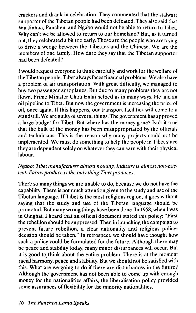crackers and drank in celebration. They commented that the stalwart supporter of the Tibetan peoplc had been defeated. They also said that Wu Jinhua, Panchen, and Ngabo would not be able to return to Tibet. Why can't we be allowed to return to our homeland? But, as it turned out, they celcbrated a bit too early. Thcse are the people who are trying to drive a wcdge between the Tibetans and the Chinese. We are the mcmbcrs of one family. How darc they say that the Tibetan supporter had bccn defeated?

I would request everyone to think carefully and work for the welfare of theTibetan people. Tibet always faccs financial problems. We also have a problem of air transportation. With grcat difficulty, we managed to buy two passenger acroplanes. Rut due to many problems they arc not flown. Prime Minister Chou Enlai helped us in many ways. Hc laid an oil pipeline to Tibet. But now the government is increasing thc pricc of oil, once again. If this happens, our transport facilities will comc to a standstill. We are guilty of several things. The government has approved a large budget for Tibet. But where has the money gone? Isn't it true that the bulk of the money has bcen misappropriated by thc officials and technicians. This is the rcason why many projects could not bc implcmented. We must do something to help the people in Tibet since they are dependent solely on whatever they can earn with thcir physical labour.

## *Ngabo: Tibet manufactures almost nothing. Industry is almost non-existent. Farms produce is the only thing Tibet produces.*

There so many things we are unable to do, because we do not have the capability. There is not nuch attention given to the study and use of the Tibetan language. If Tibet is the most religious region, it goes without saying that the study and use of the Tibetan language should be prornotcd. But many wrong things have been done. In 1958, when I was in Qinghai, I heard that an official document stated this policy: "First the rebellion should be suppressed. Then in launching the campaign to prevent future rebellion, a clear nationality and religious policydecision should be taken." In retrospect, we should have thought how such a policy could be formulated for the future. Although there may be peace and stability today, many minor disturbances will occur. But it is good to think about the entire problem. There is at the moment racial harmony, peace and stability. But we should not be satisfied with this. What are we going to do if there are disturbances in the future? Although the government has not been able to come up with enough money for the nationalities affairs, the liberalisation policy provided some assurances of flexibility for the minority nationalities.